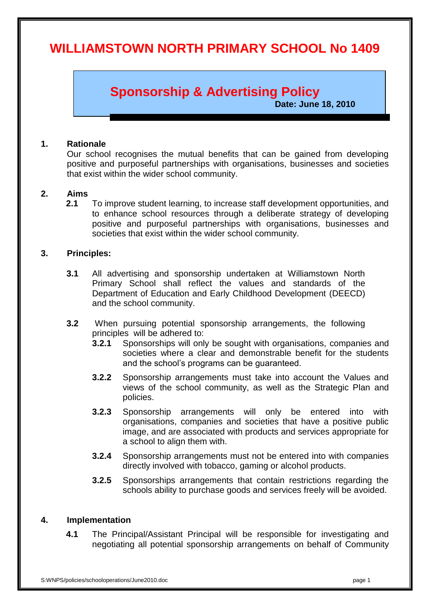# **WILLIAMSTOWN NORTH PRIMARY SCHOOL No 1409**

## **Sponsorship & Advertising Policy**

**Date: June 18, 2010**

#### **1. Rationale**

Our school recognises the mutual benefits that can be gained from developing positive and purposeful partnerships with organisations, businesses and societies that exist within the wider school community.

#### **2. Aims**

**2.1** To improve student learning, to increase staff development opportunities, and to enhance school resources through a deliberate strategy of developing positive and purposeful partnerships with organisations, businesses and societies that exist within the wider school community.

#### **3. Principles:**

- **3.1** All advertising and sponsorship undertaken at Williamstown North Primary School shall reflect the values and standards of the Department of Education and Early Childhood Development (DEECD) and the school community.
- **3.2** When pursuing potential sponsorship arrangements, the following principles will be adhered to:
	- **3.2.1** Sponsorships will only be sought with organisations, companies and societies where a clear and demonstrable benefit for the students and the school's programs can be guaranteed.
	- **3.2.2** Sponsorship arrangements must take into account the Values and views of the school community, as well as the Strategic Plan and policies.
	- **3.2.3** Sponsorship arrangements will only be entered into with organisations, companies and societies that have a positive public image, and are associated with products and services appropriate for a school to align them with.
	- **3.2.4** Sponsorship arrangements must not be entered into with companies directly involved with tobacco, gaming or alcohol products.
	- **3.2.5** Sponsorships arrangements that contain restrictions regarding the schools ability to purchase goods and services freely will be avoided.

#### **4. Implementation**

**4.1** The Principal/Assistant Principal will be responsible for investigating and negotiating all potential sponsorship arrangements on behalf of Community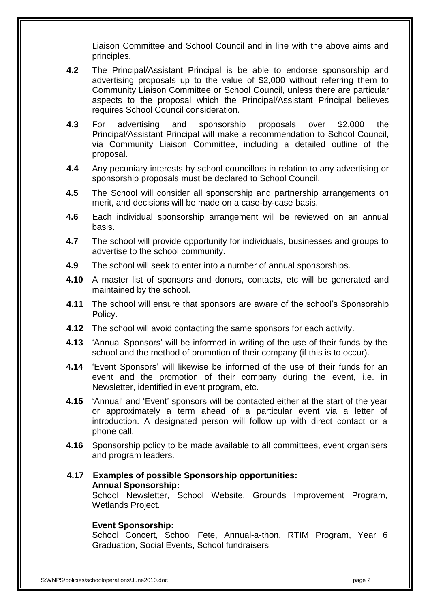Liaison Committee and School Council and in line with the above aims and principles.

- **4.2** The Principal/Assistant Principal is be able to endorse sponsorship and advertising proposals up to the value of \$2,000 without referring them to Community Liaison Committee or School Council, unless there are particular aspects to the proposal which the Principal/Assistant Principal believes requires School Council consideration.
- **4.3** For advertising and sponsorship proposals over \$2,000 the Principal/Assistant Principal will make a recommendation to School Council, via Community Liaison Committee, including a detailed outline of the proposal.
- **4.4** Any pecuniary interests by school councillors in relation to any advertising or sponsorship proposals must be declared to School Council.
- **4.5** The School will consider all sponsorship and partnership arrangements on merit, and decisions will be made on a case-by-case basis.
- **4.6** Each individual sponsorship arrangement will be reviewed on an annual basis.
- **4.7** The school will provide opportunity for individuals, businesses and groups to advertise to the school community.
- **4.9** The school will seek to enter into a number of annual sponsorships.
- **4.10** A master list of sponsors and donors, contacts, etc will be generated and maintained by the school.
- **4.11** The school will ensure that sponsors are aware of the school's Sponsorship Policy.
- **4.12** The school will avoid contacting the same sponsors for each activity.
- **4.13** 'Annual Sponsors' will be informed in writing of the use of their funds by the school and the method of promotion of their company (if this is to occur).
- **4.14** 'Event Sponsors' will likewise be informed of the use of their funds for an event and the promotion of their company during the event, i.e. in Newsletter, identified in event program, etc.
- **4.15** 'Annual' and 'Event' sponsors will be contacted either at the start of the year or approximately a term ahead of a particular event via a letter of introduction. A designated person will follow up with direct contact or a phone call.
- **4.16** Sponsorship policy to be made available to all committees, event organisers and program leaders.

## **4.17 Examples of possible Sponsorship opportunities: Annual Sponsorship:**

School Newsletter, School Website, Grounds Improvement Program, Wetlands Project.

## **Event Sponsorship:**

School Concert, School Fete, Annual-a-thon, RTIM Program, Year 6 Graduation, Social Events, School fundraisers.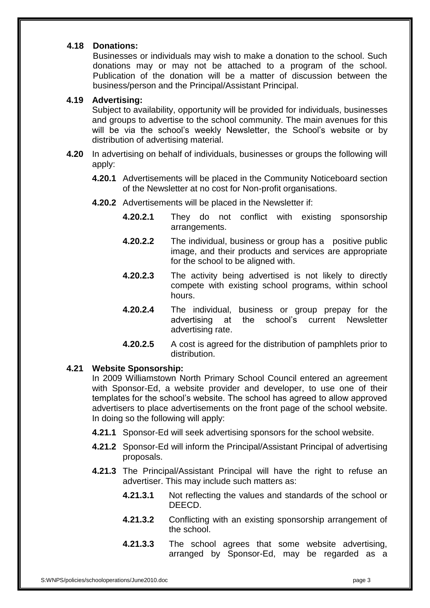## **4.18 Donations:**

Businesses or individuals may wish to make a donation to the school. Such donations may or may not be attached to a program of the school. Publication of the donation will be a matter of discussion between the business/person and the Principal/Assistant Principal.

#### **4.19 Advertising:**

Subject to availability, opportunity will be provided for individuals, businesses and groups to advertise to the school community. The main avenues for this will be via the school's weekly Newsletter, the School's website or by distribution of advertising material.

- **4.20** In advertising on behalf of individuals, businesses or groups the following will apply:
	- **4.20.1** Advertisements will be placed in the Community Noticeboard section of the Newsletter at no cost for Non-profit organisations.
	- **4.20.2** Advertisements will be placed in the Newsletter if:
		- **4.20.2.1** They do not conflict with existing sponsorship arrangements.
		- **4.20.2.2** The individual, business or group has a positive public image, and their products and services are appropriate for the school to be aligned with.
		- **4.20.2.3** The activity being advertised is not likely to directly compete with existing school programs, within school hours.
		- **4.20.2.4** The individual, business or group prepay for the advertising at the school's current Newsletter advertising rate.
		- **4.20.2.5** A cost is agreed for the distribution of pamphlets prior to distribution.

## **4.21 Website Sponsorship:**

In 2009 Williamstown North Primary School Council entered an agreement with Sponsor-Ed, a website provider and developer, to use one of their templates for the school's website. The school has agreed to allow approved advertisers to place advertisements on the front page of the school website. In doing so the following will apply:

- **4.21.1** Sponsor-Ed will seek advertising sponsors for the school website.
- **4.21.2** Sponsor-Ed will inform the Principal/Assistant Principal of advertising proposals.
- **4.21.3** The Principal/Assistant Principal will have the right to refuse an advertiser. This may include such matters as:
	- **4.21.3.1** Not reflecting the values and standards of the school or DEECD.
	- **4.21.3.2** Conflicting with an existing sponsorship arrangement of the school.
	- **4.21.3.3** The school agrees that some website advertising, arranged by Sponsor-Ed, may be regarded as a